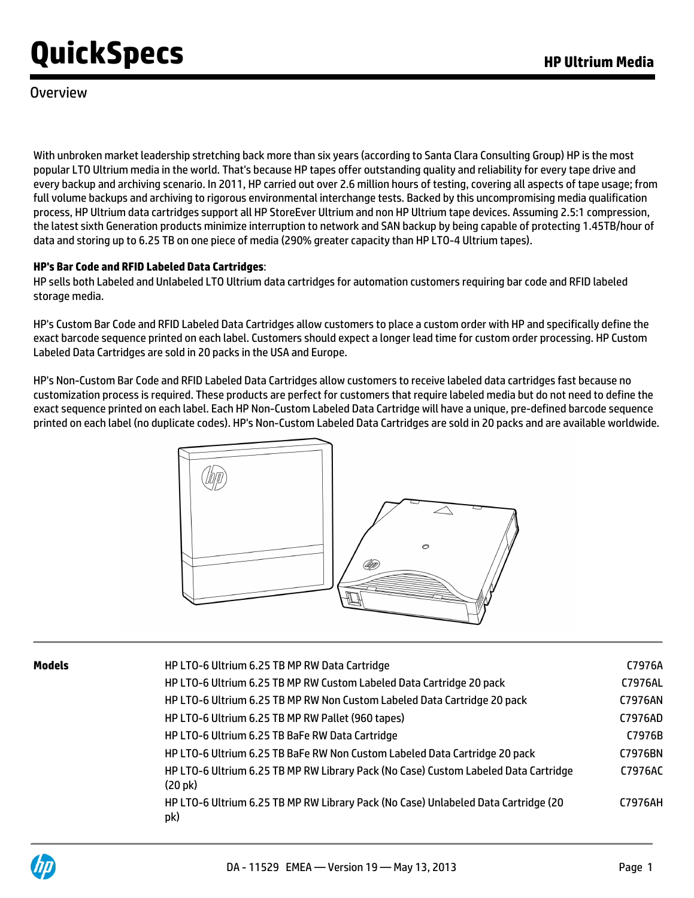### Overview

With unbroken market leadership stretching back more than six years (according to Santa Clara Consulting Group) HP is the most popular LTO Ultrium media in the world. That's because HP tapes offer outstanding quality and reliability for every tape drive and every backup and archiving scenario. In 2011, HP carried out over 2.6 million hours of testing, covering all aspects of tape usage; from full volume backups and archiving to rigorous environmental interchange tests. Backed by this uncompromising media qualification process, HP Ultrium data cartridges support all HP StoreEver Ultrium and non HP Ultrium tape devices. Assuming 2.5:1 compression, the latest sixth Generation products minimize interruption to network and SAN backup by being capable of protecting 1.45TB/hour of data and storing up to 6.25 TB on one piece of media (290% greater capacity than HP LTO-4 Ultrium tapes).

#### **HP's Bar Code and RFID Labeled Data Cartridges**:

HP sells both Labeled and Unlabeled LTO Ultrium data cartridges for automation customers requiring bar code and RFID labeled storage media.

HP's Custom Bar Code and RFID Labeled Data Cartridges allow customers to place a custom order with HP and specifically define the exact barcode sequence printed on each label. Customers should expect a longer lead time for custom order processing. HP Custom Labeled Data Cartridges are sold in 20 packs in the USA and Europe.

HP's Non-Custom Bar Code and RFID Labeled Data Cartridges allow customers to receive labeled data cartridges fast because no customization process is required. These products are perfect for customers that require labeled media but do not need to define the exact sequence printed on each label. Each HP Non-Custom Labeled Data Cartridge will have a unique, pre-defined barcode sequence printed on each label (no duplicate codes). HP's Non-Custom Labeled Data Cartridges are sold in 20 packs and are available worldwide.



| Models | HP LTO-6 Ultrium 6.25 TB MP RW Data Cartridge                                                            | C7976A  |
|--------|----------------------------------------------------------------------------------------------------------|---------|
|        | HP LTO-6 Ultrium 6.25 TB MP RW Custom Labeled Data Cartridge 20 pack                                     | C7976AL |
|        | HP LTO-6 Ultrium 6.25 TB MP RW Non Custom Labeled Data Cartridge 20 pack                                 | C7976AN |
|        | HP LTO-6 Ultrium 6.25 TB MP RW Pallet (960 tapes)                                                        | C7976AD |
|        | HP LTO-6 Ultrium 6.25 TB BaFe RW Data Cartridge                                                          | C7976B  |
|        | HP LTO-6 Ultrium 6.25 TB BaFe RW Non Custom Labeled Data Cartridge 20 pack                               | C7976BN |
|        | HP LTO-6 Ultrium 6.25 TB MP RW Library Pack (No Case) Custom Labeled Data Cartridge<br>$(20 \text{ pk})$ | C7976AC |
|        | HP LTO-6 Ultrium 6.25 TB MP RW Library Pack (No Case) Unlabeled Data Cartridge (20<br>pk)                | C7976AH |
|        |                                                                                                          |         |

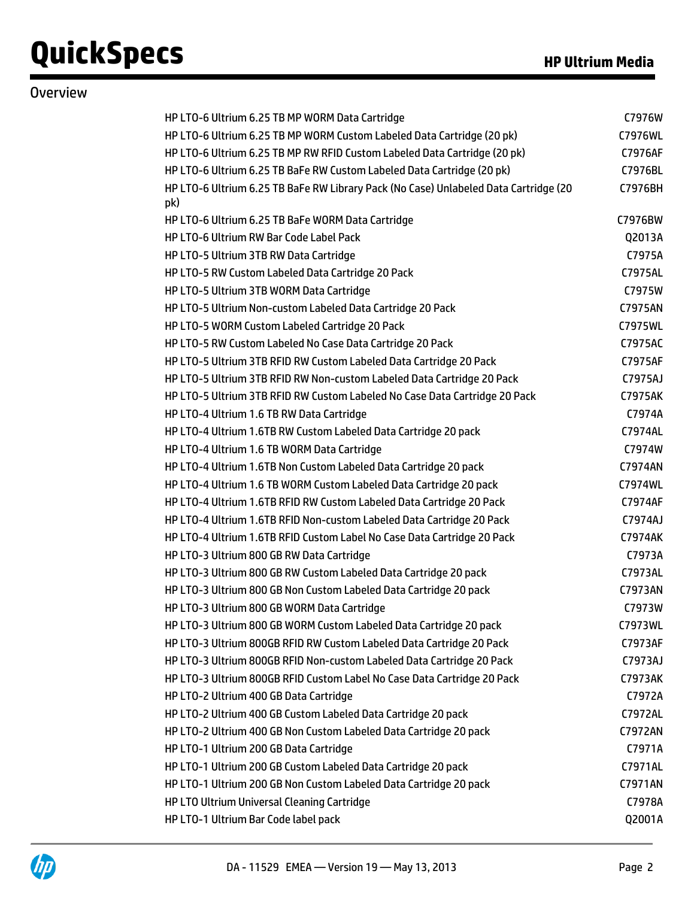**Overview** 

| HP LTO-6 Ultrium 6.25 TB MP WORM Data Cartridge                                             | C7976W         |
|---------------------------------------------------------------------------------------------|----------------|
| HP LTO-6 Ultrium 6.25 TB MP WORM Custom Labeled Data Cartridge (20 pk)                      | C7976WL        |
| HP LTO-6 Ultrium 6.25 TB MP RW RFID Custom Labeled Data Cartridge (20 pk)                   | C7976AF        |
| HP LTO-6 Ultrium 6.25 TB BaFe RW Custom Labeled Data Cartridge (20 pk)                      | C7976BL        |
| HP LTO-6 Ultrium 6.25 TB BaFe RW Library Pack (No Case) Unlabeled Data Cartridge (20<br>pk) | C7976BH        |
| HP LTO-6 Ultrium 6.25 TB BaFe WORM Data Cartridge                                           | C7976BW        |
| HP LTO-6 Ultrium RW Bar Code Label Pack                                                     | Q2013A         |
| HP LTO-5 Ultrium 3TB RW Data Cartridge                                                      | C7975A         |
| HP LTO-5 RW Custom Labeled Data Cartridge 20 Pack                                           | C7975AL        |
| HP LTO-5 Ultrium 3TB WORM Data Cartridge                                                    | C7975W         |
| HP LTO-5 Ultrium Non-custom Labeled Data Cartridge 20 Pack                                  | C7975AN        |
| HP LTO-5 WORM Custom Labeled Cartridge 20 Pack                                              | C7975WL        |
| HP LTO-5 RW Custom Labeled No Case Data Cartridge 20 Pack                                   | C7975AC        |
| HP LTO-5 Ultrium 3TB RFID RW Custom Labeled Data Cartridge 20 Pack                          | C7975AF        |
| HP LTO-5 Ultrium 3TB RFID RW Non-custom Labeled Data Cartridge 20 Pack                      | C7975AJ        |
| HP LTO-5 Ultrium 3TB RFID RW Custom Labeled No Case Data Cartridge 20 Pack                  | C7975AK        |
| HP LTO-4 Ultrium 1.6 TB RW Data Cartridge                                                   | C7974A         |
| HP LTO-4 Ultrium 1.6TB RW Custom Labeled Data Cartridge 20 pack                             | C7974AL        |
| HP LTO-4 Ultrium 1.6 TB WORM Data Cartridge                                                 | C7974W         |
| HP LTO-4 Ultrium 1.6TB Non Custom Labeled Data Cartridge 20 pack                            | C7974AN        |
| HP LTO-4 Ultrium 1.6 TB WORM Custom Labeled Data Cartridge 20 pack                          | C7974WL        |
| HP LTO-4 Ultrium 1.6TB RFID RW Custom Labeled Data Cartridge 20 Pack                        | C7974AF        |
| HP LTO-4 Ultrium 1.6TB RFID Non-custom Labeled Data Cartridge 20 Pack                       | C7974AJ        |
| HP LTO-4 Ultrium 1.6TB RFID Custom Label No Case Data Cartridge 20 Pack                     | C7974AK        |
| HP LTO-3 Ultrium 800 GB RW Data Cartridge                                                   | C7973A         |
| HP LTO-3 Ultrium 800 GB RW Custom Labeled Data Cartridge 20 pack                            | C7973AL        |
| HP LTO-3 Ultrium 800 GB Non Custom Labeled Data Cartridge 20 pack                           | C7973AN        |
| HP LTO-3 Ultrium 800 GB WORM Data Cartridge                                                 | C7973W         |
| HP LTO-3 Ultrium 800 GB WORM Custom Labeled Data Cartridge 20 pack                          | C7973WL        |
| HP LTO-3 Ultrium 800GB RFID RW Custom Labeled Data Cartridge 20 Pack                        | C7973AF        |
| HP LTO-3 Ultrium 800GB RFID Non-custom Labeled Data Cartridge 20 Pack                       | C7973AJ        |
| HP LTO-3 Ultrium 800GB RFID Custom Label No Case Data Cartridge 20 Pack                     | C7973AK        |
| HP LTO-2 Ultrium 400 GB Data Cartridge                                                      | C7972A         |
| HP LTO-2 Ultrium 400 GB Custom Labeled Data Cartridge 20 pack                               | C7972AL        |
| HP LTO-2 Ultrium 400 GB Non Custom Labeled Data Cartridge 20 pack                           | <b>C7972AN</b> |
| HP LTO-1 Ultrium 200 GB Data Cartridge                                                      | C7971A         |
| HP LTO-1 Ultrium 200 GB Custom Labeled Data Cartridge 20 pack                               | C7971AL        |
| HP LTO-1 Ultrium 200 GB Non Custom Labeled Data Cartridge 20 pack                           | C7971AN        |
| HP LTO Ultrium Universal Cleaning Cartridge                                                 | C7978A         |

HP LTO-1 Ultrium Bar Code label pack Q2001A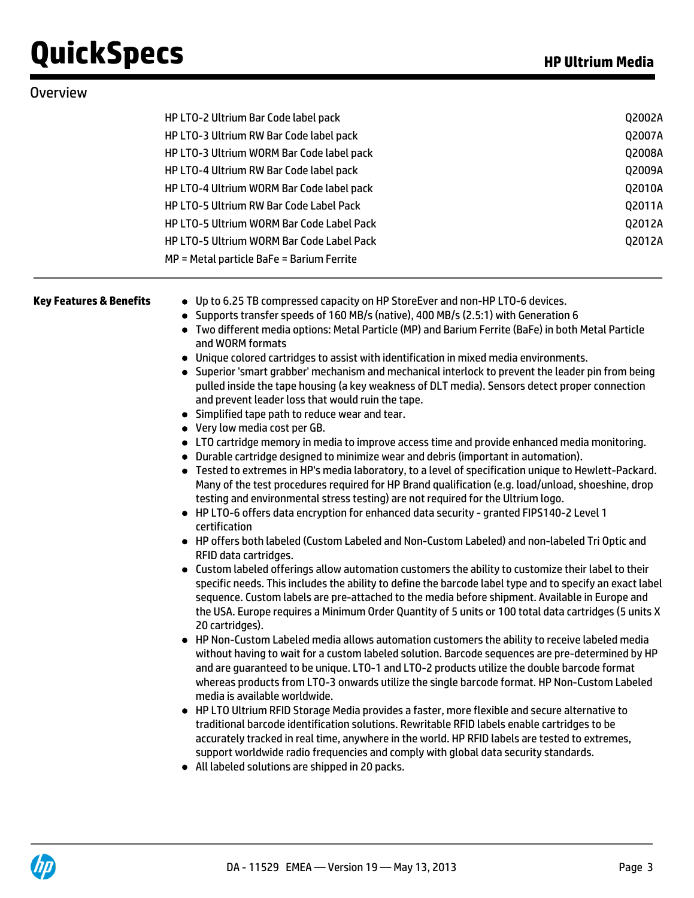| <b>Overview</b>                    |                                                                                                                                                                                                                                                                                                                                                                                                                                                                                                                                                                                                                                                                                                                                                                                                                                                                                                                                                                                                                                                                                                                                                                                                                                                                                                                                                                                                                                                                                                                                                                                                                                                                                                                                                                                                                                                                                                                                                                                                                                                                                                                                                                                                                                                                                                                                                                                                                                                                                                                                                                                                                                                                                                                                                                                                                    |        |  |  |  |  |
|------------------------------------|--------------------------------------------------------------------------------------------------------------------------------------------------------------------------------------------------------------------------------------------------------------------------------------------------------------------------------------------------------------------------------------------------------------------------------------------------------------------------------------------------------------------------------------------------------------------------------------------------------------------------------------------------------------------------------------------------------------------------------------------------------------------------------------------------------------------------------------------------------------------------------------------------------------------------------------------------------------------------------------------------------------------------------------------------------------------------------------------------------------------------------------------------------------------------------------------------------------------------------------------------------------------------------------------------------------------------------------------------------------------------------------------------------------------------------------------------------------------------------------------------------------------------------------------------------------------------------------------------------------------------------------------------------------------------------------------------------------------------------------------------------------------------------------------------------------------------------------------------------------------------------------------------------------------------------------------------------------------------------------------------------------------------------------------------------------------------------------------------------------------------------------------------------------------------------------------------------------------------------------------------------------------------------------------------------------------------------------------------------------------------------------------------------------------------------------------------------------------------------------------------------------------------------------------------------------------------------------------------------------------------------------------------------------------------------------------------------------------------------------------------------------------------------------------------------------------|--------|--|--|--|--|
|                                    | HP LTO-2 Ultrium Bar Code label pack                                                                                                                                                                                                                                                                                                                                                                                                                                                                                                                                                                                                                                                                                                                                                                                                                                                                                                                                                                                                                                                                                                                                                                                                                                                                                                                                                                                                                                                                                                                                                                                                                                                                                                                                                                                                                                                                                                                                                                                                                                                                                                                                                                                                                                                                                                                                                                                                                                                                                                                                                                                                                                                                                                                                                                               | Q2002A |  |  |  |  |
|                                    | HP LTO-3 Ultrium RW Bar Code label pack                                                                                                                                                                                                                                                                                                                                                                                                                                                                                                                                                                                                                                                                                                                                                                                                                                                                                                                                                                                                                                                                                                                                                                                                                                                                                                                                                                                                                                                                                                                                                                                                                                                                                                                                                                                                                                                                                                                                                                                                                                                                                                                                                                                                                                                                                                                                                                                                                                                                                                                                                                                                                                                                                                                                                                            |        |  |  |  |  |
|                                    | HP LTO-3 Ultrium WORM Bar Code label pack                                                                                                                                                                                                                                                                                                                                                                                                                                                                                                                                                                                                                                                                                                                                                                                                                                                                                                                                                                                                                                                                                                                                                                                                                                                                                                                                                                                                                                                                                                                                                                                                                                                                                                                                                                                                                                                                                                                                                                                                                                                                                                                                                                                                                                                                                                                                                                                                                                                                                                                                                                                                                                                                                                                                                                          |        |  |  |  |  |
|                                    | HP LTO-4 Ultrium RW Bar Code label pack                                                                                                                                                                                                                                                                                                                                                                                                                                                                                                                                                                                                                                                                                                                                                                                                                                                                                                                                                                                                                                                                                                                                                                                                                                                                                                                                                                                                                                                                                                                                                                                                                                                                                                                                                                                                                                                                                                                                                                                                                                                                                                                                                                                                                                                                                                                                                                                                                                                                                                                                                                                                                                                                                                                                                                            |        |  |  |  |  |
|                                    | HP LTO-4 Ultrium WORM Bar Code label pack                                                                                                                                                                                                                                                                                                                                                                                                                                                                                                                                                                                                                                                                                                                                                                                                                                                                                                                                                                                                                                                                                                                                                                                                                                                                                                                                                                                                                                                                                                                                                                                                                                                                                                                                                                                                                                                                                                                                                                                                                                                                                                                                                                                                                                                                                                                                                                                                                                                                                                                                                                                                                                                                                                                                                                          |        |  |  |  |  |
|                                    | <b>HP LTO-5 Ultrium RW Bar Code Label Pack</b>                                                                                                                                                                                                                                                                                                                                                                                                                                                                                                                                                                                                                                                                                                                                                                                                                                                                                                                                                                                                                                                                                                                                                                                                                                                                                                                                                                                                                                                                                                                                                                                                                                                                                                                                                                                                                                                                                                                                                                                                                                                                                                                                                                                                                                                                                                                                                                                                                                                                                                                                                                                                                                                                                                                                                                     |        |  |  |  |  |
|                                    | <b>HP LTO-5 Ultrium WORM Bar Code Label Pack</b>                                                                                                                                                                                                                                                                                                                                                                                                                                                                                                                                                                                                                                                                                                                                                                                                                                                                                                                                                                                                                                                                                                                                                                                                                                                                                                                                                                                                                                                                                                                                                                                                                                                                                                                                                                                                                                                                                                                                                                                                                                                                                                                                                                                                                                                                                                                                                                                                                                                                                                                                                                                                                                                                                                                                                                   | Q2012A |  |  |  |  |
|                                    | <b>HP LTO-5 Ultrium WORM Bar Code Label Pack</b>                                                                                                                                                                                                                                                                                                                                                                                                                                                                                                                                                                                                                                                                                                                                                                                                                                                                                                                                                                                                                                                                                                                                                                                                                                                                                                                                                                                                                                                                                                                                                                                                                                                                                                                                                                                                                                                                                                                                                                                                                                                                                                                                                                                                                                                                                                                                                                                                                                                                                                                                                                                                                                                                                                                                                                   | Q2012A |  |  |  |  |
|                                    | MP = Metal particle BaFe = Barium Ferrite                                                                                                                                                                                                                                                                                                                                                                                                                                                                                                                                                                                                                                                                                                                                                                                                                                                                                                                                                                                                                                                                                                                                                                                                                                                                                                                                                                                                                                                                                                                                                                                                                                                                                                                                                                                                                                                                                                                                                                                                                                                                                                                                                                                                                                                                                                                                                                                                                                                                                                                                                                                                                                                                                                                                                                          |        |  |  |  |  |
| <b>Key Features &amp; Benefits</b> | • Up to 6.25 TB compressed capacity on HP StoreEver and non-HP LTO-6 devices.<br>• Supports transfer speeds of 160 MB/s (native), 400 MB/s (2.5:1) with Generation 6<br>• Two different media options: Metal Particle (MP) and Barium Ferrite (BaFe) in both Metal Particle<br>and WORM formats<br>• Unique colored cartridges to assist with identification in mixed media environments.<br>• Superior 'smart grabber' mechanism and mechanical interlock to prevent the leader pin from being<br>pulled inside the tape housing (a key weakness of DLT media). Sensors detect proper connection<br>and prevent leader loss that would ruin the tape.<br>• Simplified tape path to reduce wear and tear.<br>• Very low media cost per GB.<br>• LTO cartridge memory in media to improve access time and provide enhanced media monitoring.<br>• Durable cartridge designed to minimize wear and debris (important in automation).<br>• Tested to extremes in HP's media laboratory, to a level of specification unique to Hewlett-Packard.<br>Many of the test procedures required for HP Brand qualification (e.g. load/unload, shoeshine, drop<br>testing and environmental stress testing) are not required for the Ultrium logo.<br>• HP LTO-6 offers data encryption for enhanced data security - granted FIPS140-2 Level 1<br>certification<br>• HP offers both labeled (Custom Labeled and Non-Custom Labeled) and non-labeled Tri Optic and<br>RFID data cartridges.<br>• Custom labeled offerings allow automation customers the ability to customize their label to their<br>specific needs. This includes the ability to define the barcode label type and to specify an exact label<br>sequence. Custom labels are pre-attached to the media before shipment. Available in Europe and<br>the USA. Europe requires a Minimum Order Quantity of 5 units or 100 total data cartridges (5 units X<br>20 cartridges).<br>• HP Non-Custom Labeled media allows automation customers the ability to receive labeled media<br>without having to wait for a custom labeled solution. Barcode sequences are pre-determined by HP<br>and are guaranteed to be unique. LTO-1 and LTO-2 products utilize the double barcode format<br>whereas products from LTO-3 onwards utilize the single barcode format. HP Non-Custom Labeled<br>media is available worldwide.<br>• HP LTO Ultrium RFID Storage Media provides a faster, more flexible and secure alternative to<br>traditional barcode identification solutions. Rewritable RFID labels enable cartridges to be<br>accurately tracked in real time, anywhere in the world. HP RFID labels are tested to extremes,<br>support worldwide radio frequencies and comply with global data security standards.<br>• All labeled solutions are shipped in 20 packs. |        |  |  |  |  |

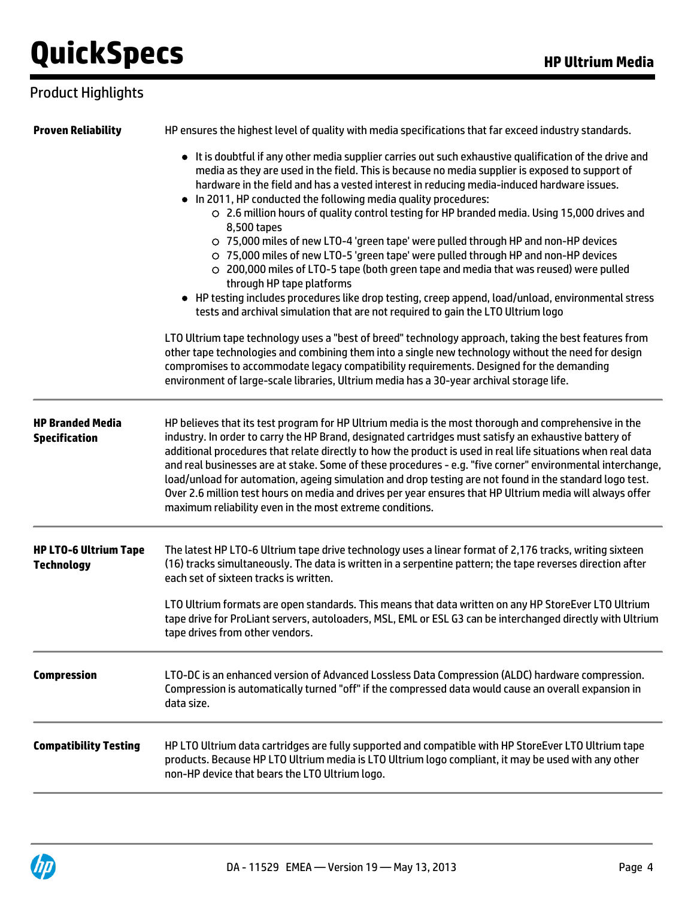## Product Highlights

| <b>Proven Reliability</b>                         | HP ensures the highest level of quality with media specifications that far exceed industry standards.                                                                                                                                                                                                                                                                                                                                                                                                                                                                                                                                                                                                                                                                                                                                                                                                                                                                                   |
|---------------------------------------------------|-----------------------------------------------------------------------------------------------------------------------------------------------------------------------------------------------------------------------------------------------------------------------------------------------------------------------------------------------------------------------------------------------------------------------------------------------------------------------------------------------------------------------------------------------------------------------------------------------------------------------------------------------------------------------------------------------------------------------------------------------------------------------------------------------------------------------------------------------------------------------------------------------------------------------------------------------------------------------------------------|
|                                                   | • It is doubtful if any other media supplier carries out such exhaustive qualification of the drive and<br>media as they are used in the field. This is because no media supplier is exposed to support of<br>hardware in the field and has a vested interest in reducing media-induced hardware issues.<br>. In 2011, HP conducted the following media quality procedures:<br>○ 2.6 million hours of quality control testing for HP branded media. Using 15,000 drives and<br>8,500 tapes<br>○ 75,000 miles of new LTO-4 'green tape' were pulled through HP and non-HP devices<br>○ 75,000 miles of new LTO-5 'green tape' were pulled through HP and non-HP devices<br>○ 200,000 miles of LTO-5 tape (both green tape and media that was reused) were pulled<br>through HP tape platforms<br>• HP testing includes procedures like drop testing, creep append, load/unload, environmental stress<br>tests and archival simulation that are not required to gain the LTO Ultrium logo |
|                                                   | LTO Ultrium tape technology uses a "best of breed" technology approach, taking the best features from<br>other tape technologies and combining them into a single new technology without the need for design<br>compromises to accommodate legacy compatibility requirements. Designed for the demanding<br>environment of large-scale libraries, Ultrium media has a 30-year archival storage life.                                                                                                                                                                                                                                                                                                                                                                                                                                                                                                                                                                                    |
| <b>HP Branded Media</b><br><b>Specification</b>   | HP believes that its test program for HP Ultrium media is the most thorough and comprehensive in the<br>industry. In order to carry the HP Brand, designated cartridges must satisfy an exhaustive battery of<br>additional procedures that relate directly to how the product is used in real life situations when real data<br>and real businesses are at stake. Some of these procedures - e.g. "five corner" environmental interchange,<br>load/unload for automation, ageing simulation and drop testing are not found in the standard logo test.<br>Over 2.6 million test hours on media and drives per year ensures that HP Ultrium media will always offer<br>maximum reliability even in the most extreme conditions.                                                                                                                                                                                                                                                          |
| <b>HP LTO-6 Ultrium Tape</b><br><b>Technology</b> | The latest HP LTO-6 Ultrium tape drive technology uses a linear format of 2,176 tracks, writing sixteen<br>(16) tracks simultaneously. The data is written in a serpentine pattern; the tape reverses direction after<br>each set of sixteen tracks is written.<br>LTO Ultrium formats are open standards. This means that data written on any HP StoreEver LTO Ultrium<br>tape drive for ProLiant servers, autoloaders, MSL, EML or ESL G3 can be interchanged directly with Ultrium                                                                                                                                                                                                                                                                                                                                                                                                                                                                                                   |
|                                                   | tape drives from other vendors.                                                                                                                                                                                                                                                                                                                                                                                                                                                                                                                                                                                                                                                                                                                                                                                                                                                                                                                                                         |
| <b>Compression</b>                                | LTO-DC is an enhanced version of Advanced Lossless Data Compression (ALDC) hardware compression.<br>Compression is automatically turned "off" if the compressed data would cause an overall expansion in<br>data size.                                                                                                                                                                                                                                                                                                                                                                                                                                                                                                                                                                                                                                                                                                                                                                  |
| <b>Compatibility Testing</b>                      | HP LTO Ultrium data cartridges are fully supported and compatible with HP StoreEver LTO Ultrium tape<br>products. Because HP LTO Ultrium media is LTO Ultrium logo compliant, it may be used with any other<br>non-HP device that bears the LTO Ultrium logo.                                                                                                                                                                                                                                                                                                                                                                                                                                                                                                                                                                                                                                                                                                                           |
|                                                   |                                                                                                                                                                                                                                                                                                                                                                                                                                                                                                                                                                                                                                                                                                                                                                                                                                                                                                                                                                                         |

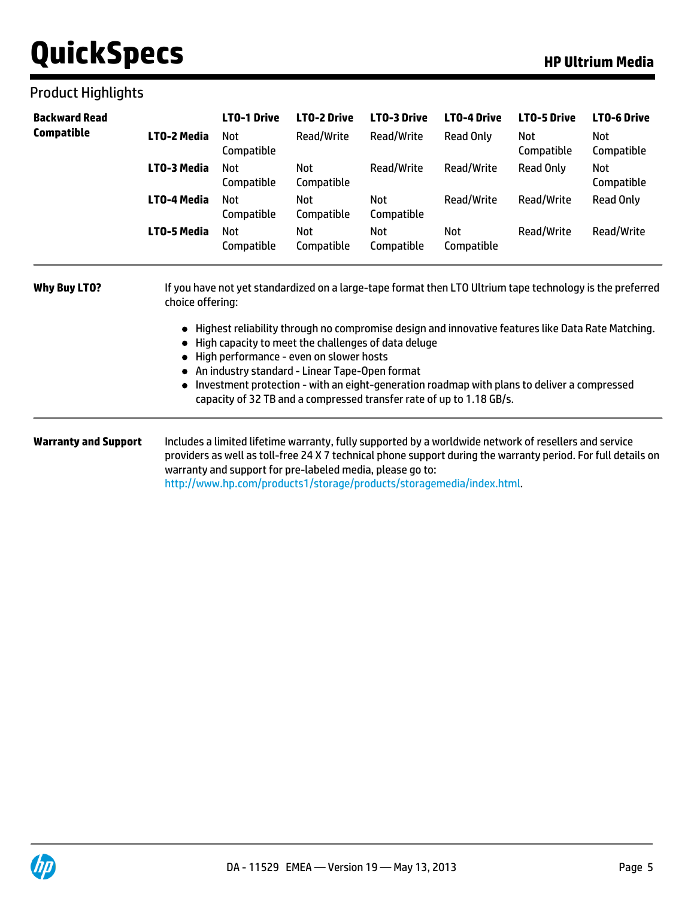## Product Highlights

| <b>Backward Read</b>        | LTO-2 Media<br>LTO-3 Media<br>LTO-4 Media<br>LTO-5 Media                                                                                                                                                                                                                                                                                                                                                                                                                                                                                                      | <b>LTO-1 Drive</b><br><b>Not</b><br>Compatible<br><b>Not</b><br>Compatible<br><b>Not</b><br>Compatible<br><b>Not</b><br>Compatible | <b>LTO-2 Drive</b><br>Read/Write<br>Not<br>Compatible<br><b>Not</b><br>Compatible<br>Not<br>Compatible | <b>LTO-3 Drive</b><br>Read/Write<br>Read/Write<br>Not<br>Compatible<br>Not<br>Compatible | <b>LTO-4 Drive</b><br>Read Only<br>Read/Write<br>Read/Write<br><b>Not</b><br>Compatible                                                                                        | <b>LTO-5 Drive</b><br>Not<br>Compatible<br><b>Read Only</b><br>Read/Write<br>Read/Write | <b>LTO-6 Drive</b><br>Not<br>Compatible<br>Not<br>Compatible<br><b>Read Only</b><br>Read/Write                |
|-----------------------------|---------------------------------------------------------------------------------------------------------------------------------------------------------------------------------------------------------------------------------------------------------------------------------------------------------------------------------------------------------------------------------------------------------------------------------------------------------------------------------------------------------------------------------------------------------------|------------------------------------------------------------------------------------------------------------------------------------|--------------------------------------------------------------------------------------------------------|------------------------------------------------------------------------------------------|--------------------------------------------------------------------------------------------------------------------------------------------------------------------------------|-----------------------------------------------------------------------------------------|---------------------------------------------------------------------------------------------------------------|
| Compatible                  |                                                                                                                                                                                                                                                                                                                                                                                                                                                                                                                                                               |                                                                                                                                    |                                                                                                        |                                                                                          |                                                                                                                                                                                |                                                                                         |                                                                                                               |
|                             |                                                                                                                                                                                                                                                                                                                                                                                                                                                                                                                                                               |                                                                                                                                    |                                                                                                        |                                                                                          |                                                                                                                                                                                |                                                                                         |                                                                                                               |
|                             |                                                                                                                                                                                                                                                                                                                                                                                                                                                                                                                                                               |                                                                                                                                    |                                                                                                        |                                                                                          |                                                                                                                                                                                |                                                                                         |                                                                                                               |
|                             |                                                                                                                                                                                                                                                                                                                                                                                                                                                                                                                                                               |                                                                                                                                    |                                                                                                        |                                                                                          |                                                                                                                                                                                |                                                                                         |                                                                                                               |
| <b>Why Buy LTO?</b>         | If you have not yet standardized on a large-tape format then LTO Ultrium tape technology is the preferred<br>choice offering:<br>Highest reliability through no compromise design and innovative features like Data Rate Matching.<br>High capacity to meet the challenges of data deluge<br>High performance - even on slower hosts<br>An industry standard - Linear Tape-Open format<br>Investment protection - with an eight-generation roadmap with plans to deliver a compressed<br>capacity of 32 TB and a compressed transfer rate of up to 1.18 GB/s. |                                                                                                                                    |                                                                                                        |                                                                                          |                                                                                                                                                                                |                                                                                         |                                                                                                               |
| <b>Warranty and Support</b> |                                                                                                                                                                                                                                                                                                                                                                                                                                                                                                                                                               |                                                                                                                                    | warranty and support for pre-labeled media, please go to:                                              |                                                                                          | Includes a limited lifetime warranty, fully supported by a worldwide network of resellers and service<br>http://www.hp.com/products1/storage/products/storagemedia/index.html. |                                                                                         | providers as well as toll-free 24 X 7 technical phone support during the warranty period. For full details on |

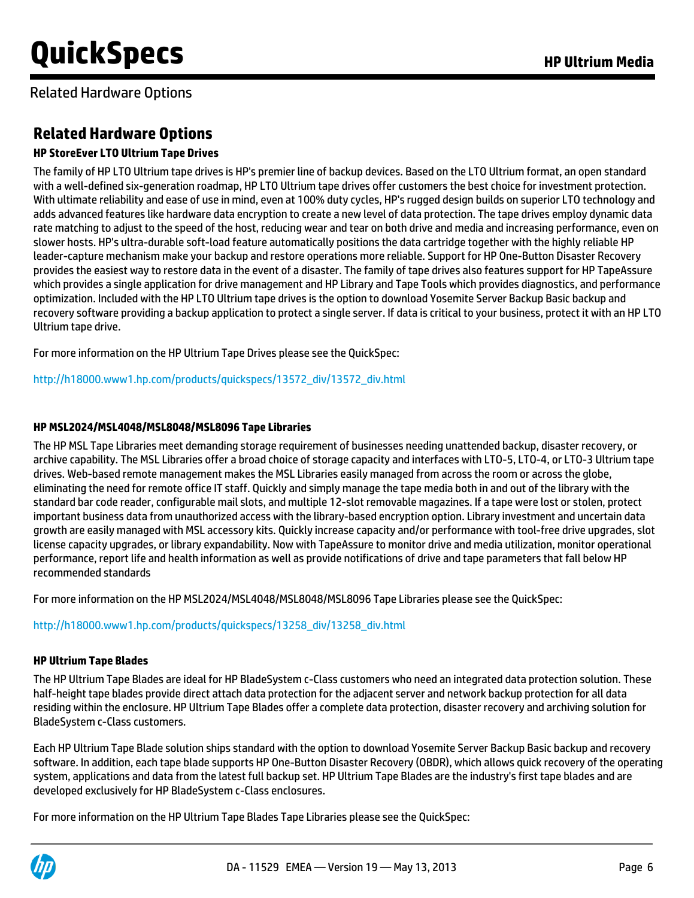Related Hardware Options

# **Related Hardware Options**

### **HP StoreEver LTO Ultrium Tape Drives**

The family of HP LTO Ultrium tape drives is HP's premier line of backup devices. Based on the LTO Ultrium format, an open standard with a well-defined six-generation roadmap, HP LTO Ultrium tape drives offer customers the best choice for investment protection. With ultimate reliability and ease of use in mind, even at 100% duty cycles, HP's rugged design builds on superior LTO technology and adds advanced features like hardware data encryption to create a new level of data protection. The tape drives employ dynamic data rate matching to adjust to the speed of the host, reducing wear and tear on both drive and media and increasing performance, even on slower hosts. HP's ultra-durable soft-load feature automatically positions the data cartridge together with the highly reliable HP leader-capture mechanism make your backup and restore operations more reliable. Support for HP One-Button Disaster Recovery provides the easiest way to restore data in the event of a disaster. The family of tape drives also features support for HP TapeAssure which provides a single application for drive management and HP Library and Tape Tools which provides diagnostics, and performance optimization. Included with the HP LTO Ultrium tape drives is the option to download Yosemite Server Backup Basic backup and recovery software providing a backup application to protect a single server. If data is critical to your business, protect it with an HP LTO Ultrium tape drive.

For more information on the HP Ultrium Tape Drives please see the QuickSpec:

[http://h18000.www1.hp.com/products/quickspecs/13572\\_div/13572\\_div.html](http://h18000.www1.hp.com/products/quickspecs/13572_div/13572_div.html)

### **HP MSL2024/MSL4048/MSL8048/MSL8096 Tape Libraries**

The HP MSL Tape Libraries meet demanding storage requirement of businesses needing unattended backup, disaster recovery, or archive capability. The MSL Libraries offer a broad choice of storage capacity and interfaces with LTO-5, LTO-4, or LTO-3 Ultrium tape drives. Web-based remote management makes the MSL Libraries easily managed from across the room or across the globe, eliminating the need for remote office IT staff. Quickly and simply manage the tape media both in and out of the library with the standard bar code reader, configurable mail slots, and multiple 12-slot removable magazines. If a tape were lost or stolen, protect important business data from unauthorized access with the library-based encryption option. Library investment and uncertain data growth are easily managed with MSL accessory kits. Quickly increase capacity and/or performance with tool-free drive upgrades, slot license capacity upgrades, or library expandability. Now with TapeAssure to monitor drive and media utilization, monitor operational performance, report life and health information as well as provide notifications of drive and tape parameters that fall below HP recommended standards

For more information on the HP MSL2024/MSL4048/MSL8048/MSL8096 Tape Libraries please see the QuickSpec:

[http://h18000.www1.hp.com/products/quickspecs/13258\\_div/13258\\_div.html](http://h18000.www1.hp.com/products/quickspecs/13258_div/13258_div.html%20)

### **HP Ultrium Tape Blades**

The HP Ultrium Tape Blades are ideal for HP BladeSystem c-Class customers who need an integrated data protection solution. These half-height tape blades provide direct attach data protection for the adjacent server and network backup protection for all data residing within the enclosure. HP Ultrium Tape Blades offer a complete data protection, disaster recovery and archiving solution for BladeSystem c-Class customers.

Each HP Ultrium Tape Blade solution ships standard with the option to download Yosemite Server Backup Basic backup and recovery software. In addition, each tape blade supports HP One-Button Disaster Recovery (OBDR), which allows quick recovery of the operating system, applications and data from the latest full backup set. HP Ultrium Tape Blades are the industry's first tape blades and are developed exclusively for HP BladeSystem c-Class enclosures.

For more information on the HP Ultrium Tape Blades Tape Libraries please see the QuickSpec:

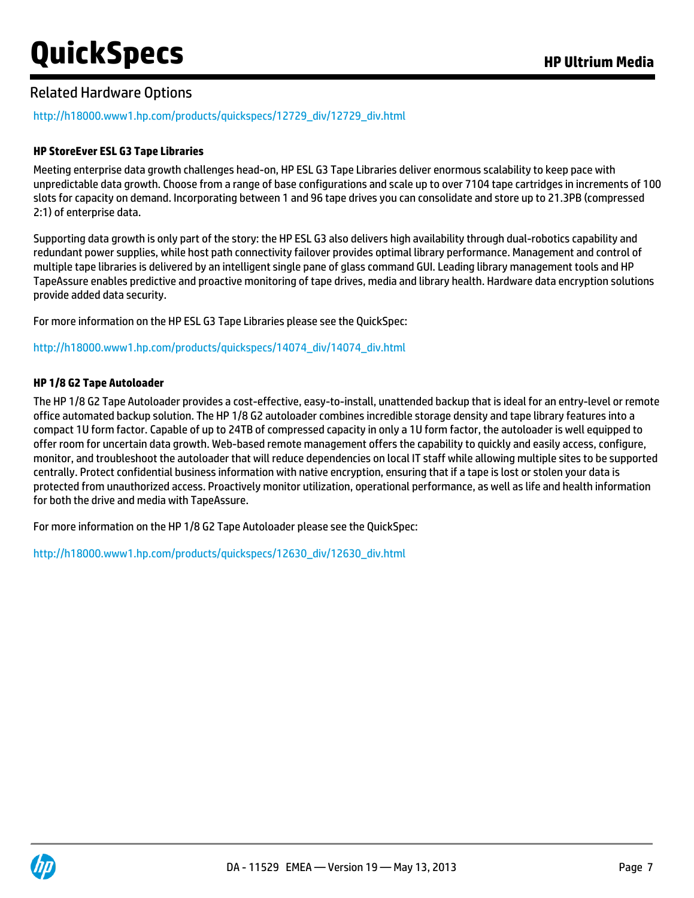### Related Hardware Options

[http://h18000.www1.hp.com/products/quickspecs/12729\\_div/12729\\_div.html](http://h18000.www1.hp.com/products/quickspecs/12729_div/12729_div.html)

#### **HP StoreEver ESL G3 Tape Libraries**

Meeting enterprise data growth challenges head-on, HP ESL G3 Tape Libraries deliver enormous scalability to keep pace with unpredictable data growth. Choose from a range of base configurations and scale up to over 7104 tape cartridges in increments of 100 slots for capacity on demand. Incorporating between 1 and 96 tape drives you can consolidate and store up to 21.3PB (compressed 2:1) of enterprise data.

Supporting data growth is only part of the story: the HP ESL G3 also delivers high availability through dual-robotics capability and redundant power supplies, while host path connectivity failover provides optimal library performance. Management and control of multiple tape libraries is delivered by an intelligent single pane of glass command GUI. Leading library management tools and HP TapeAssure enables predictive and proactive monitoring of tape drives, media and library health. Hardware data encryption solutions provide added data security.

For more information on the HP ESL G3 Tape Libraries please see the QuickSpec:

[http://h18000.www1.hp.com/products/quickspecs/14074\\_div/14074\\_div.html](http://h18000.www1.hp.com/products/quickspecs/14074_div/14074_div.html)

#### **HP 1/8 G2 Tape Autoloader**

The HP 1/8 G2 Tape Autoloader provides a cost-effective, easy-to-install, unattended backup that is ideal for an entry-level or remote office automated backup solution. The HP 1/8 G2 autoloader combines incredible storage density and tape library features into a compact 1U form factor. Capable of up to 24TB of compressed capacity in only a 1U form factor, the autoloader is well equipped to offer room for uncertain data growth. Web-based remote management offers the capability to quickly and easily access, configure, monitor, and troubleshoot the autoloader that will reduce dependencies on local IT staff while allowing multiple sites to be supported centrally. Protect confidential business information with native encryption, ensuring that if a tape is lost or stolen your data is protected from unauthorized access. Proactively monitor utilization, operational performance, as well as life and health information for both the drive and media with TapeAssure.

For more information on the HP 1/8 G2 Tape Autoloader please see the QuickSpec:

[http://h18000.www1.hp.com/products/quickspecs/12630\\_div/12630\\_div.html](http://h18000.www1.hp.com/products/quickspecs/12630_div/12630_div.html%20)